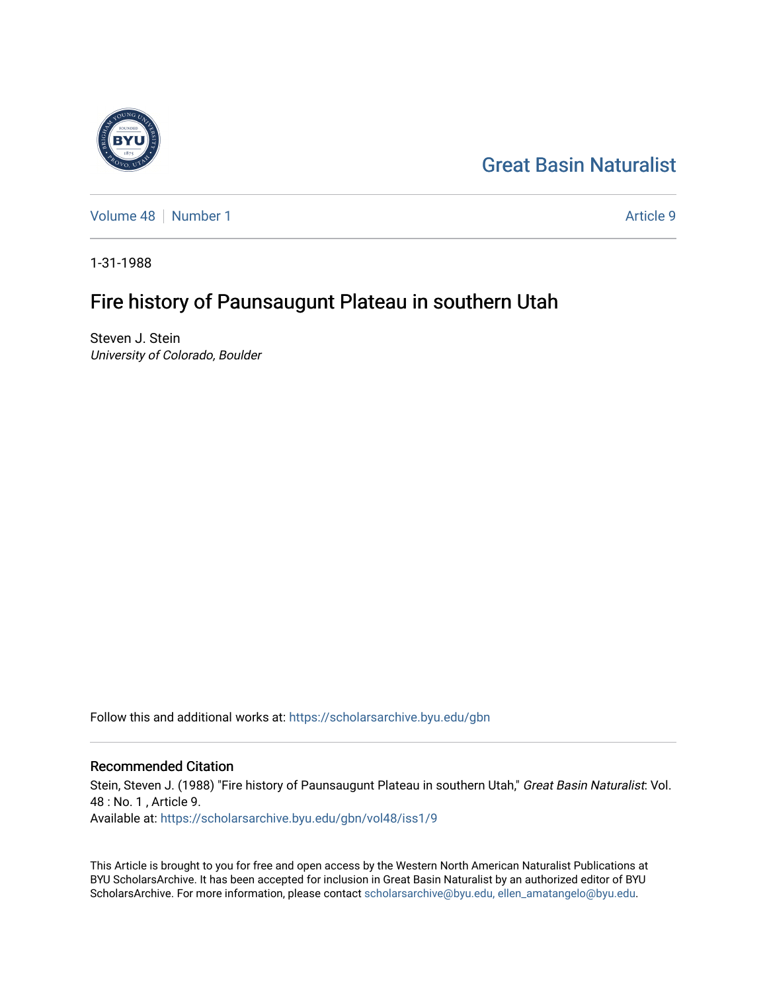# [Great Basin Naturalist](https://scholarsarchive.byu.edu/gbn)

[Volume 48](https://scholarsarchive.byu.edu/gbn/vol48) [Number 1](https://scholarsarchive.byu.edu/gbn/vol48/iss1) Article 9

1-31-1988

# Fire history of Paunsaugunt Plateau in southern Utah

Steven J. Stein University of Colorado, Boulder

Follow this and additional works at: [https://scholarsarchive.byu.edu/gbn](https://scholarsarchive.byu.edu/gbn?utm_source=scholarsarchive.byu.edu%2Fgbn%2Fvol48%2Fiss1%2F9&utm_medium=PDF&utm_campaign=PDFCoverPages) 

# Recommended Citation

Stein, Steven J. (1988) "Fire history of Paunsaugunt Plateau in southern Utah," Great Basin Naturalist: Vol. 48 : No. 1 , Article 9. Available at: [https://scholarsarchive.byu.edu/gbn/vol48/iss1/9](https://scholarsarchive.byu.edu/gbn/vol48/iss1/9?utm_source=scholarsarchive.byu.edu%2Fgbn%2Fvol48%2Fiss1%2F9&utm_medium=PDF&utm_campaign=PDFCoverPages)

This Article is brought to you for free and open access by the Western North American Naturalist Publications at BYU ScholarsArchive. It has been accepted for inclusion in Great Basin Naturalist by an authorized editor of BYU ScholarsArchive. For more information, please contact [scholarsarchive@byu.edu, ellen\\_amatangelo@byu.edu.](mailto:scholarsarchive@byu.edu,%20ellen_amatangelo@byu.edu)

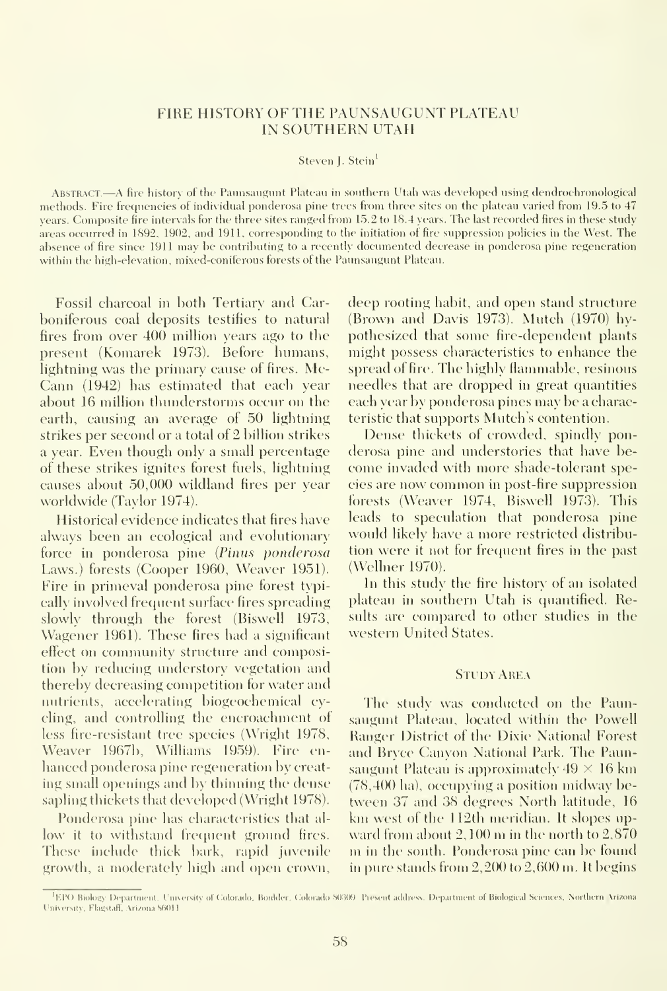## FIRE HISTORY OF THE PAUNSAUGUNT PLATEAU IN SOUTHERN UTAH

#### Steven J. Stein<sup>1</sup>

ABSTRACT.—A fire history of the Paunsaugunt Plateau in southern Utah was developed using dendrochronological methods. Fire frequencies of individual ponderosa pine trees from three sites on the plateau varied from 19.5 to 47 years. Composite fire intervals for the three sites ranged from 15.2 to 18.4 years. The last recorded fires in these study areas occurred in 1892, 1902, and 1911, corresponding to the initiation of fire suppression policies in the West. The absence of fire since 1911 may be contributing to a recently dociunented decrease in ponderosa pine regeneration within the high-elevation, mixed-coniferous forests of the Paunsaugunt Plateau.

Fossil charcoal in both Tertiary and Carboniferous coal deposits testifies to natural fires from over 400 million years ago to the present (Komarek 1973). Before humans, lightning was the primary cause of fires. Mc-Cann (1942) has estimated that each year about 16 million thunderstorms occur on the earth, causing an average of 50 lightning strikes per second or a total ot 2 billion strikes a year. Even though only a small percentage of these strikes ignites forest fuels, lightning causes about 50,000 wildland fires per year worldwide (Taylor 1974).

Historical evidence indicates that fires have always been an ecological and evolutionary force in ponderosa pine (Pinus ponderosa Laws.) forests (Cooper 1960, Weaver 1951). Fire in primeval ponderosa pine forest typically involved frequent surface fires spreading slowly through the forest (Biswell 1973, Wagener 1961). These fires had a significant effect on community structure and composition by reducing understory vegetation and thereby decreasing competition for water and nutrients, accelerating biogeochemical cycling, and controlling the encroachment of less fire-resistant tree species (Wright 1978, Weaver 19671), Williams 1959). Fire en hanced ponderosa pine regeneration by creat ing small openings and by thinning the dense sapling thickets that developed (Wright 1978).

Ponderosa pine has characteristics that al low it to withstand frequent ground fires. These include thick bark, rapid juvenile growth, a moderately high and open crown, deep rooting habit, and open stand structure (Brown and Davis 1973). Mutch (1970) hypothesized that some fire-dependent plants might possess characteristics to enhance the spread ot fire. The highly flammable, resinous needles that are dropped in great quantities each year by ponderosa pines may be a characteristic that supports Mutch's contention.

Dense thickets of crowded, spindly ponderosa pine and understories that have be come invaded with more shade-tolerant species are now common inpost-fire suppression forests (Weaver 1974, Biswell 1973). This leads to speculation that ponderosa pine would likely have a more restricted distribution were it not for frequent fires in the past (Wellner 1970).

In this study the fire history of an isolated plateau in southern Utah is quantified. Results are compared to other studies in the western United States.

#### Study Area

The study was conducted on the Paunsaugunt Plateau, located within the Powell Hanger District of the Dixie National Forest and Bryce Canyon National Park. The Paunsaugunt Plateau is approximately  $49 \times 16$  km  $(78,400 \text{ ha})$ , occupving a position midway between 37 and 38 degrees North latitude, 16 km west of the 112th meridian. It slopes upward from about  $2,100$  m in the north to  $2,870$ m in the south. Ponderosa pine can be found in pure stands from 2,200 to 2,600 m. Itbegins

<sup>&#</sup>x27;EPO Biology Department, University of Colorado, Bonlder, Colorado 80309. Present address. Department of Biological Sciences, Northern Arizona University, Flagstaff, Arizona S6011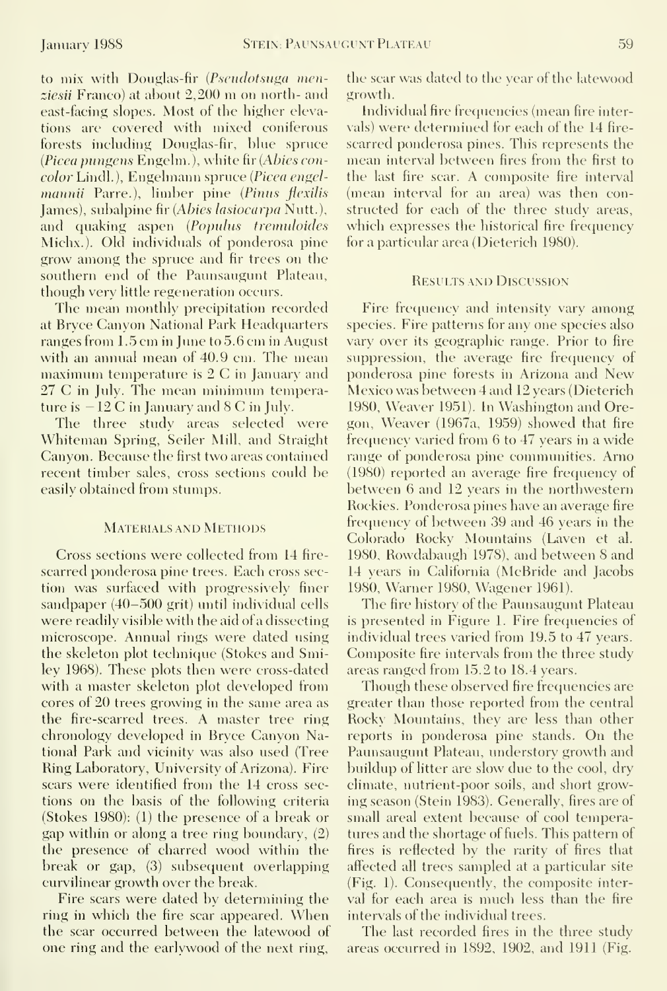to mix with Douglas-fir {Pscudotsuga menziesii Franco) at about 2,200 m on north- and east-facing slopes. Most of the higher elevations are covered with mixed coniferous forests including Douglas-fir, blue spruce (Picea pungens Engelm. ), white fir {Abies concolor Lindl.), Engelmann spruce {Picea engelmannii Parre.), limber pine (Pinus flexilis James), subalpine fir {Abies lasiocarpa Nutt.), and quaking aspen (Populus tremuloides Michx.). Old individuals of ponderosa pine grow among the spruce and fir trees on the southern end of the Paunsaugunt Plateau, though very little regeneration occurs.

The mean monthly precipitation recorded at Bryce Canyon National Park Headquarters ranges from  $1.5 \text{ cm}$  in June to  $5.6 \text{ cm}$  in August with an annual mean of 40.9 cm. The mean maximum temperature is  $2 \text{ C}$  in January and 27 C in July. The mean minimum temperature is — <sup>12</sup> C in January and <sup>8</sup> C in July.

The three study areas selected were Whiteman Spring, Seiler Mill, and Straight Canyon. Because the first two areas contained recent timber sales, cross sections could be easily obtained from stumps.

#### MATERIALS AND METHODS

Cross sections were collected from 14 fire scarred ponderosa pine trees. Each cross section was surfaced with progressively finer sandpaper (40-500 grit) until individual cells were readily visible with the aid of a dissecting microscope. Annual rings were dated using the skeleton plot technique (Stokes and Smiley 1968). These plots then were cross-dated with a master skeleton plot developed from cores of 20 trees growing in the same area as the fire-scarred trees. A master tree ring chronology developed in Bryce Canyon National Park and vicinity was also used (Tree Ring Laboratory, University of Arizona). Fire scars were identified from the 14 cross sections on the basis of the following criteria (Stokes 1980): (1) the presence of a break or gap within or along a tree ring boundary, (2) the presence of charred wood within the break or gap, (3) subsequent overlapping curvilinear growth over the break.

Fire scars were dated by determining the ring in which the fire scar appeared. When the scar occurred between the latewood of one ring and the earlywood of the next ring. the scar was dated to the year of the latewood growth.

Individual fire frequencies (mean fire intervals) were determined for each of the 14 fire scarred ponderosa pines. This represents the mean interval between fires from the first to the last fire scar. A composite fire interval (mean interval for an area) was then constructed for each of the three study areas, which expresses the historical fire frequency for a particular area (Dieterich 1980).

#### Results and Discussion

Fire frequency and intensity vary among species. Fire patterns for any one species also vary over its geographic range. Prior to fire suppression, the average fire frequency of ponderosa pine forests in Arizona and New Mexico was between 4 and 12 years (Dieterich 1980, Weaver 1951). In Washington and Oregon, Weaver (1967a, 1959) showed that fire frequency varied from 6 to 47 years in a wide range of ponderosa pine communities. Arno (1980) reported an average fire frequency of between 6 and 12 years in the northwestern Rockies. Ponderosa pines have an average fire frequency of between 39 and 46 years in the Colorado Rocky Mountains (Laven et al. 1980, Rowdabaugh 1978), and between 8 and 14 vears in California (McBride and Jacobs 1980, Warner 1980, Wagener 1961).

The fire history of the Paunsaugunt Plateau is presented in Figure 1. Fire frequencies of individual trees varied from 19.5 to 47 years. Composite fire intervals from the three study areas ranged from 15.2 to 18.4 years.

Though these observed fire frequencies are greater than those reported from the central Rocky Mountains, they are less than other reports in ponderosa pine stands. On the Paunsaugunt Plateau, understory growth and buildup of litter are slow due to the cool, dry climate, nutrient-poor soils, and short growing season (Stein 1983). Generally, fires are of small areal extent because of cool temperatures and the shortage of fuels. This pattern of fires is reflected by the rarity of fires that affected all trees sampled at a particular site (Fig. 1). Consequently, the composite interval for each area is much less than the fire intervals of the individual trees.

The last recorded fires in the three study areas occurred in 1892, 1902, and 1911 (Fig.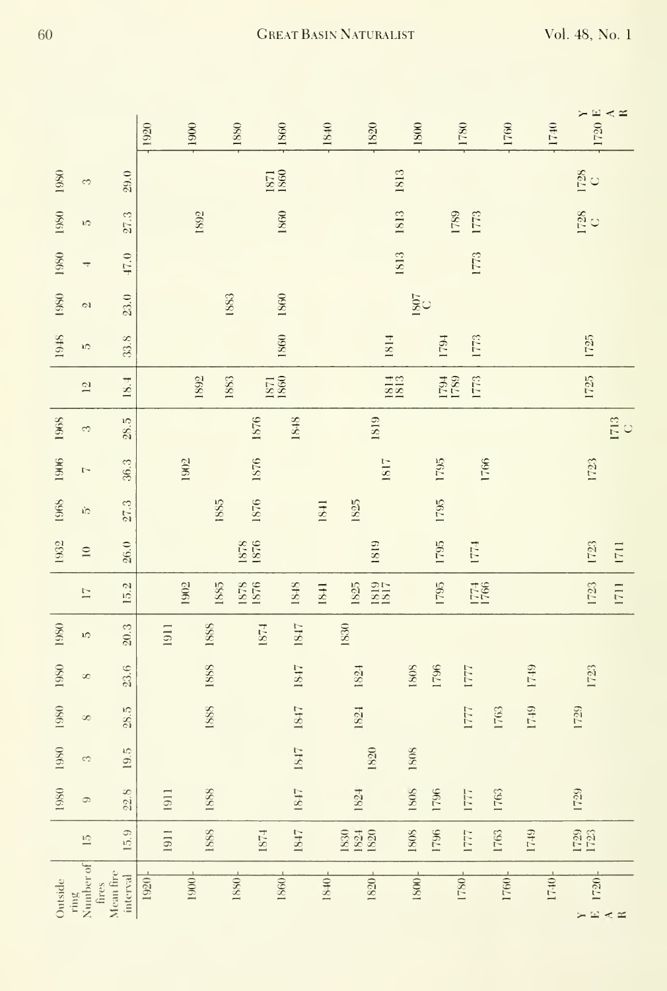|         |                                       |                       | 1920 |      | 1900 |      | 1880         | <b>1860</b>  | 1840 | 1820                 | 1800             |              | 1780            | 1760 |      | 1740 | $\begin{array}{c}\nY \\ Y \\ 20 \\ K\n\end{array}$ |                  |
|---------|---------------------------------------|-----------------------|------|------|------|------|--------------|--------------|------|----------------------|------------------|--------------|-----------------|------|------|------|----------------------------------------------------|------------------|
| 1980    | 3                                     | 29.0                  |      |      |      |      |              | 1871<br>1860 |      |                      | 1813             |              |                 |      |      |      | $\frac{1728}{C}$                                   |                  |
| 1980    | 1O                                    | 27.3                  |      |      | 1892 |      |              | 1860         |      |                      | 1813             |              | 1789<br>1773    |      |      |      | $\frac{1728}{C}$                                   |                  |
| 1980    | T                                     | 47.0                  |      |      |      |      |              |              |      |                      | 1813             |              | 1773            |      |      |      |                                                    |                  |
| 1980    | 2                                     | 23.0                  |      |      |      |      | 1883         | 1860         |      |                      | $\frac{1807}{C}$ |              |                 |      |      |      |                                                    |                  |
| 1948    | ìΩ                                    | 33.8                  |      |      |      |      |              | 1860         |      | 1814                 |                  | 1794         | 1773            |      |      |      | $1725$                                             |                  |
|         | $\overline{5}$                        | 18.4                  |      |      | 1892 |      | 1883         | 1880<br>1781 |      | 1813                 |                  | 1794<br>1789 | 1773            |      |      |      | 1725                                               |                  |
| 1968    | 3                                     | $28.5$                |      |      |      |      | 1876         | 1848         |      | 1819                 |                  |              |                 |      |      |      |                                                    | $\frac{1713}{C}$ |
| 1906    | $\overline{ }$                        | 36.3                  |      |      | 1902 |      | 1876         |              |      | 1817                 |                  | 1795         |                 | 1766 |      |      | 1723                                               |                  |
| 1968    | ήÇ                                    | 27.3                  |      |      |      | 1885 | 1876         |              | 1841 | 1825                 |                  | 1795         |                 |      |      |      |                                                    |                  |
| 1932    | $\ensuremath{\mathop{\boxtimes}}$     | 26.0                  |      |      |      |      | 1878<br>1876 |              |      | 1819                 |                  | 1795         | 1771            |      |      |      | 1723                                               | 1711             |
|         | $\overline{11}$                       | 15.2                  |      |      | 1902 | 1885 | 1878<br>1876 | 1848         | 1841 | 1819<br>1817<br>1825 |                  | 1795         | 1774<br>1766    |      |      |      | 1723                                               | 1711             |
| 1980    | 5                                     | 20.3                  |      | 1911 |      | 1888 | 1874         | 1847         |      | 1830                 |                  |              |                 |      |      |      |                                                    |                  |
| 1980    | $\infty$                              | 23.6                  |      |      |      | 1888 |              | 1847         |      | 1824                 | $1808\,$         | 1796         | 1777            |      | 1749 |      | 1723                                               |                  |
| 1980    | $\infty$                              | 28.5                  |      |      |      | 1888 |              | 1847         |      | 1824                 |                  |              | 1777            | 1763 | 1749 |      | 1729                                               |                  |
| 1980    | 3                                     | 19.5                  |      |      |      |      |              | 1847         |      | 1820                 | 1808             |              |                 |      |      |      |                                                    |                  |
| 1980    | $\circ$                               | 22.8                  |      | 1911 |      | 1888 |              | 1847         |      | 1824                 | 1808             | 1796         | 1777            | 1763 |      |      | 1729                                               |                  |
|         | $\overline{10}$                       | 15.9                  |      | 1911 |      | 1888 | <b>F281</b>  | 1847         |      | 1830<br>1824<br>1820 | 1808             | 1796         | 1777            | 1763 | 1749 |      | 1729<br>1723                                       |                  |
| Outside | Number of<br>fires<br>$\mathrm{ring}$ | Mean fire<br>interval | 1920 |      | 1900 |      | 1880         | 1860         | 1840 | 1820                 | 1800             |              | <sup>1087</sup> | 1760 |      | 1740 | 1720<br>$\times \mathbb{Z} \times \mathbb{Z}$      |                  |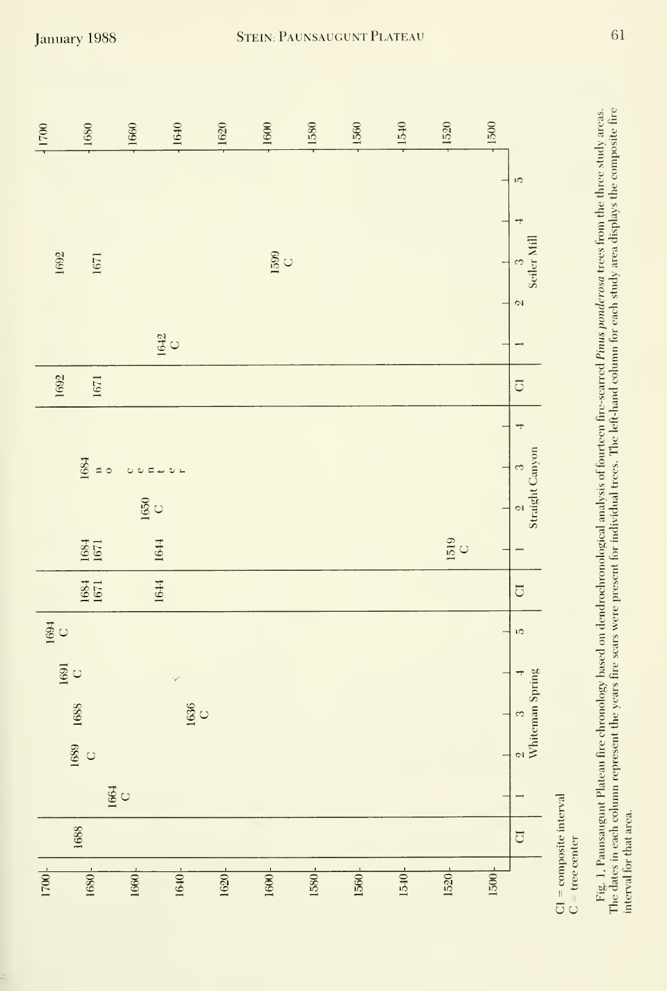| 11700                                    | 1680                                     | 1660             | 1640                                     | 1620 | 1600      | 1580 | 1560 | 1540 | 1520             | 1500 |                                    |
|------------------------------------------|------------------------------------------|------------------|------------------------------------------|------|-----------|------|------|------|------------------|------|------------------------------------|
|                                          |                                          |                  |                                          |      |           |      |      |      |                  |      | ĩŰ,                                |
|                                          |                                          |                  |                                          |      |           |      |      |      |                  |      | Seiler Mill                        |
| 1692                                     | 1671                                     |                  |                                          |      | 1599<br>C |      |      |      |                  |      |                                    |
|                                          |                                          |                  |                                          |      |           |      |      |      |                  |      | $\mathcal{D}$                      |
|                                          |                                          |                  | $\frac{1642}{C}$                         |      |           |      |      |      |                  |      | $\overline{\phantom{0}}$           |
| 1692                                     | 1671                                     |                  |                                          |      |           |      |      |      |                  |      | $\overline{C}$                     |
|                                          |                                          |                  |                                          |      |           |      |      |      |                  |      | ÷                                  |
|                                          | 1684<br>$\approx$                        | $0.07 + 0.1$     |                                          |      |           |      |      |      |                  |      | 3                                  |
|                                          |                                          | $\frac{1650}{C}$ |                                          |      |           |      |      |      |                  |      | Straight Canyon<br>$\mathcal{C}$   |
|                                          | 1684<br>1671                             |                  | 1644                                     |      |           |      |      |      | $\frac{1519}{C}$ |      |                                    |
|                                          | $\frac{1684}{1671}$                      |                  | 1644                                     |      |           |      |      |      |                  |      | $\overline{C}$                     |
| 1694<br>C                                |                                          |                  |                                          |      |           |      |      |      |                  |      | <b>LO</b>                          |
| $\begin{array}{c} 1691 \\ C \end{array}$ |                                          |                  | $\mathcal{P}$                            |      |           |      |      |      |                  |      |                                    |
| 1688                                     |                                          |                  | $\begin{array}{c} 1636 \\ C \end{array}$ |      |           |      |      |      |                  |      | $\frac{2}{2}$ 3<br>Whiteman Spring |
|                                          | $\begin{array}{c} 1689 \\ C \end{array}$ |                  |                                          |      |           |      |      |      |                  |      |                                    |
|                                          |                                          | 1664<br>C        |                                          |      |           |      |      |      |                  |      |                                    |
|                                          | 1688                                     |                  |                                          |      |           |      |      |      |                  |      | $\overline{\text{C}}$              |
| 1700                                     | 1680                                     | 1660             | 1640                                     | 1620 | 1600      | 1580 | 1560 | 1540 | 1520             | 1500 |                                    |

 $\begin{aligned} \mathrm{C1} & = \mathrm{composite\ interval} \\ \mathrm{C} & = \mathrm{tree\ center} \end{aligned}$ 

reas.<br>e fire<br> interval for that area.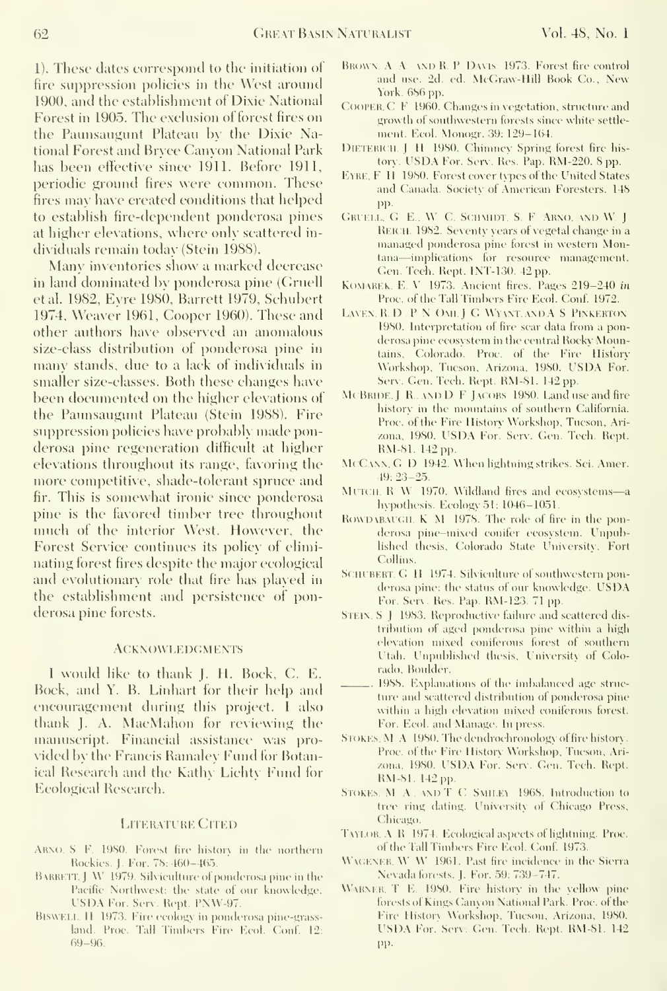1). These dates correspond to the initiation ot fire suppression policies in the West around 1900, and the establishment of Dixie National Forest in 1905. The exclusion of forest fires on the Paunsaugunt Plateau by the Dixie National Forest and Bryce Canyon National Park has been effective since 1911. Before 1911, periodic ground fires were common. These fires may have created conditions that helped to establish fire-dependent ponderosa pines at higher elevations, where only scattered in dividuals remain today (Stein 1988).

Many inventories show <sup>a</sup> marked decrease in land dominated bv ponderosa pine (Gruell etal. 1982, Evre 1980, Barrett 1979, Schubert 1974, Weaver 1961, Cooper 1960). These and other authors have observed an anomalous size-class distribution of ponderosa pine in many stands, due to a lack of individuals in smaller size-classes. Both these changes have been documented on the higher elevations of the Paunsaugunt Plateau (Stein 1988). Fire suppression policies have probably made ponderosa pine regeneration difficult at higher elevations throughout its range, favoring the more competitive, shade-tolerant spruce and fir. This is somewhat ironic since ponderosa pine is the favored timber tree throughout much of the interior West. However, the Forest Service continues its policy of eliminating forest fires despite the major ecological and evolutionary role that fire has played in the establishment and persistence of ponderosa pine forests.

### **ACKNOWLEDGMENTS**

<sup>I</sup> would like to thank J. H. Bock, C. E. Bock, and Y. B. Linhart for their help and encouragement during this project. <sup>I</sup> also thank J. A. MacMahon for reviewing the manuscript. Financial assistance was pro vided by the Francis Ramaley Fund for Botanical Research and the Kathy Lichty Fund for Ecological Research.

### **LITERATURE CITED**

- ARNO, S. F. 1980. Forest fire history in the northern Rockies. J. For. 78: 460-465
- BARRETT, J. W. 1979. Silviculture of ponderosa pine in the Pacific Northwest: the state of our knowledge. USDA For. Serv. Rept. PNW-97.
- BiswELL. H. 1973. Fire ecology in ponderosa pine-grassland. Proc. Tall Timbers Fire Ecol. Conf. 12: 69-96.
- BROWN. A A. AND R. P. DAVIS, 1973. Forest fire control and use. 2d. ed. McGraw-Hill Book Co., New York. 686 pp.
- Cooper. C F.1960. Changes in vegetation, structnre and growth of southwestern forests since white settle ment. Ecol. Monogr, 39: 129-164.
- DlETERlCH. J. H 1980. Chimney Spring forest fire his tory. USDA For. Serv. Res. Pap. RM-220. <sup>8</sup> pp.
- EYRE, F. H. 1980. Forest cover types of the United States and Canada. Society of American Foresters. 148 pp.
- GRUELL, G. E., W. C. SCHMIDT, S. F. ARNO, AND W. J. Reich. 1982. Seventy years of vegetal change in a managed ponderosa pine forest in western Montana—implications for resource management. Gen. Tech. Rept. INT-130. 42 pp.
- KoMAREK, E. V. 1973. Ancient fires. Pages 219-240 in Proc. of the Tall Timbers Fire Ecol. Conf. 1972.
- LAVEN, R. D. P. N. OMI, J. G. WYANT, AND A S. PINKERTON 1980. Interpretation of fire scar data from a ponderosa pine ecosystem in the central Rocky Mountains, Colorado. Proc. of the Fire Histor\ Workshop, Tueson, Arizona, 1980. USDA For. Serv. Gen. Tech. Rept. RM-81. 142 pp.
- MCBRIDE. J R. AND D F JACOBS 1980. Land use and fire history in the mountains of southern California. Proc. of the Fire History Workshop, Tucson, Arizona, 1980. USDA For. Serv. Gen. Tech. Rept. RM-81. 142 pp.
- McCann. G. D. 1942. When iiglitning strikes. Sci. Amer.  $-19: 23-25.$
- MUTCH, R W 1970. Wildland fires and ecosystems-a hypothesis. Ecology 51: 1046-1051.
- ROWDABAUGH, K, M. 1978. The role of fire in the ponderosa pine-mixed conifer ecosystem. Unpublished thesis, Colorado State University, Fort Collins.
- SCHUBERT, G. H. 1974. Silviculture of southwestern ponderosa pine: the status of our knowledge. USDA For. Serv. Res. Pap. RM-123. 71 pp.
- STEIN. S  $\parallel$  1983. Reproductive failure and scattered distribution ot aged ponderosa pine within a high elevation mixed coniferous forest of southern Utah. Unpublished thesis, University of Colorado, Boulder.
- . 1988. Explanations of the imbalanced age structure and scattered distribution of ponderosa pine within a high elevation mixed coniferous forest. For. Ecol. and Manage. In press.
- STOKES. M A 1980. The dendrochronology of fire history. Proc. of the Fire History Workshop, Tucson, Arizona, 1980. USDA For. Serv. Gen. Tech. Rept. RM-81. 142 pp.
- STOKES, M, A, AND T, C, SMILEY, 1968. Introduction to tree ring dating. University of Chicago Press, Chicago.
- TAYLOR A R 1974. Ecological aspects of lightning. Proc. of the Tall Timbers Fire Ecol. Conf. 1973.
- WAGENER, W. W. 1961. Past fire incidence in the Sierra Nevada forests. J. For. 59: 739-747.
- \\ \RNER, T. E 1980. Fire history in the yellow pine forests of Kings Canyon National Park. Proc. of the Fire History Workshop, Tueson, Arizona, 1980. IS DA For.' Serv. Gen. Tech. Rept. RM-81. <sup>142</sup> pp.